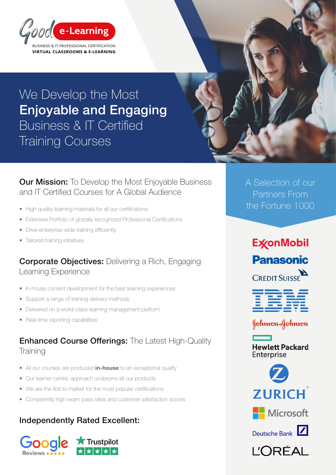

## We Develop the Most Enjoyable and Engaging Business & IT Certified Training Courses

**Our Mission:** To Develop the Most Enjoyable Business and IT Certified Courses for A Global Audience

- High quality learning materials for all our certifications
- Extensive Portfolio of globally-recognized Professional Certifications
- Drive enterprise-wide training efficiently
- Tailored training initiatives

#### **Corporate Objectives:** Delivering a Rich, Engaging Learning Experience

- In-house content development for the best learning experiences
- Support a range of training delivery methods
- Delivered on a world-class learning management platform
- Real-time reporting capabilities

#### **Enhanced Course Offerings:** The Latest High-Quality **Training**

- All our courses are produced *in-house* to an exceptional quality
- Our learner-centric approach underpins all our products
- We are the first to market for the most popular certifications
- Consistently high exam pass rates and customer satisfaction scores

#### Independently Rated Excellent:



A Selection of our Partners From the Fortune 1000

# **ExconMobil Panasonic**

**CREDIT SUISSE** 

|         |  | _______                                                                                                                                                                                                                              |
|---------|--|--------------------------------------------------------------------------------------------------------------------------------------------------------------------------------------------------------------------------------------|
|         |  | the contract of the contract of the contract of the contract of the contract of                                                                                                                                                      |
|         |  |                                                                                                                                                                                                                                      |
|         |  | <u>and the company of the company of the company of the company of the company of the company of the company of the company of the company of the company of the company of the company of the company of the company of the com</u> |
| _______ |  |                                                                                                                                                                                                                                      |
|         |  | _______                                                                                                                                                                                                                              |
|         |  | _______                                                                                                                                                                                                                              |
|         |  | ______                                                                                                                                                                                                                               |







Deutsche Bank

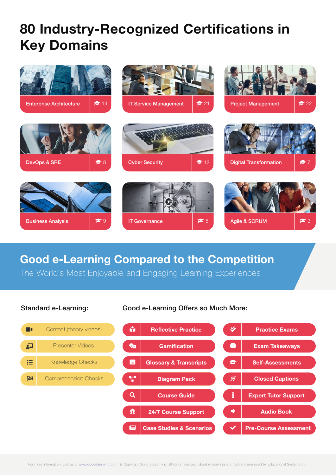# 80 Industry-Recognized Certifications in Key Domains



## Good e-Learning Compared to the Competition

The World's Most Enjoyable and Engaging Learning Experiences

#### Case Studies & Scenarios Course Guide Content (theory videos) Presenter Videos Knowledge Checks Comprehension Checks Pre-Course Assessment <del>派</del> │ 24/7 Course Support │ │ ● │ │ │ Audio Book Closed Captions Expert Tutor Support M Reflective Practice A V Practice Exams  $\bigoplus$  Exam Takeaways **E** | Glossary & Transcripts | **Self-Assessments** Diagram Pack 国  $\overline{\mathbf{Q}}$  $\blacksquare$  $\mathbf{\Omega}$ 挂 网  $\checkmark$ ର୍ i **O**<sub>a</sub> | Gamification 7.

Standard e-Learning: Good e-Learning Offers so Much More: